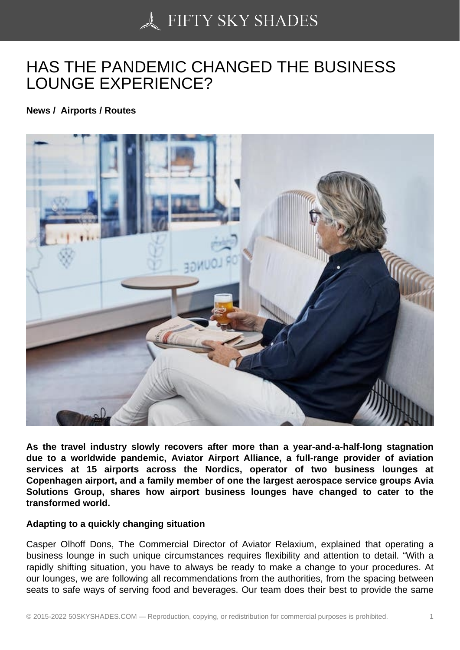## [HAS THE PANDEMIC](https://50skyshades.com) CHANGED THE BUSINESS LOUNGE EXPERIENCE?

News / Airports / Routes

As the travel industry slowly recovers after more than a year-and-a-half-long stagnation due to a worldwide pandemic, Aviator Airport Alliance, a full-range provider of aviation services at 15 airports across the Nordics, operator of two business lounges at Copenhagen airport, and a family member of one the largest aerospace service groups Avia Solutions Group, shares how airport business lounges have changed to cater to the transformed world.

Adapting to a quickly changing situation

Casper Olhoff Dons, The Commercial Director of Aviator Relaxium, explained that operating a business lounge in such unique circumstances requires flexibility and attention to detail. "With a rapidly shifting situation, you have to always be ready to make a change to your procedures. At our lounges, we are following all recommendations from the authorities, from the spacing between seats to safe ways of serving food and beverages. Our team does their best to provide the same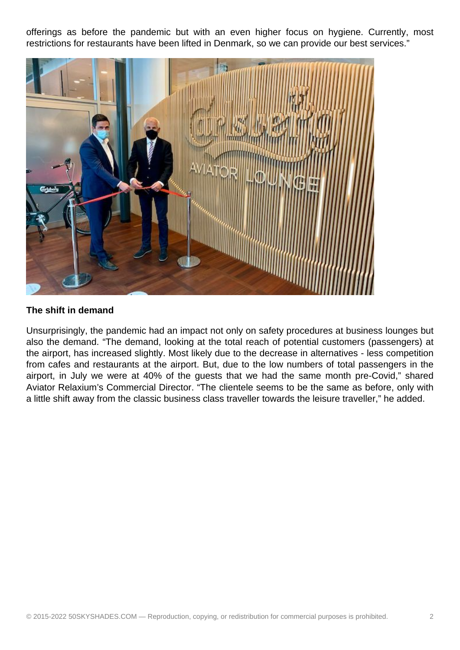offerings as before the pandemic but with an even higher focus on hygiene. Currently, most restrictions for restaurants have been lifted in Denmark, so we can provide our best services."



## **The shift in demand**

Unsurprisingly, the pandemic had an impact not only on safety procedures at business lounges but also the demand. "The demand, looking at the total reach of potential customers (passengers) at the airport, has increased slightly. Most likely due to the decrease in alternatives - less competition from cafes and restaurants at the airport. But, due to the low numbers of total passengers in the airport, in July we were at 40% of the guests that we had the same month pre-Covid," shared Aviator Relaxium's Commercial Director. "The clientele seems to be the same as before, only with a little shift away from the classic business class traveller towards the leisure traveller," he added.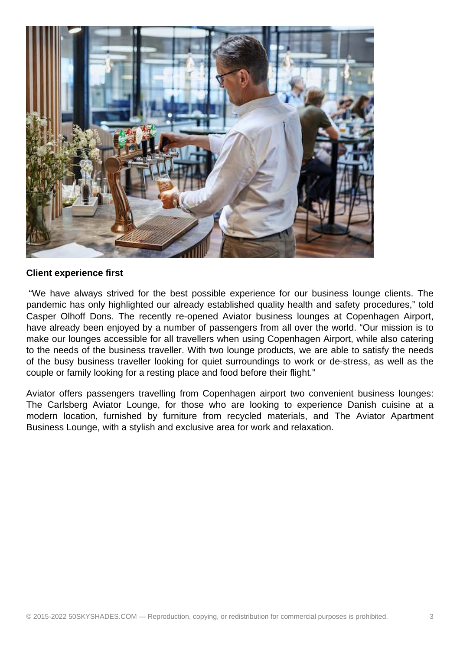

## **Client experience first**

 "We have always strived for the best possible experience for our business lounge clients. The pandemic has only highlighted our already established quality health and safety procedures," told Casper Olhoff Dons. The recently re-opened Aviator business lounges at Copenhagen Airport, have already been enjoyed by a number of passengers from all over the world. "Our mission is to make our lounges accessible for all travellers when using Copenhagen Airport, while also catering to the needs of the business traveller. With two lounge products, we are able to satisfy the needs of the busy business traveller looking for quiet surroundings to work or de-stress, as well as the couple or family looking for a resting place and food before their flight."

Aviator offers passengers travelling from Copenhagen airport two convenient business lounges: The Carlsberg Aviator Lounge, for those who are looking to experience Danish cuisine at a modern location, furnished by furniture from recycled materials, and The Aviator Apartment Business Lounge, with a stylish and exclusive area for work and relaxation.